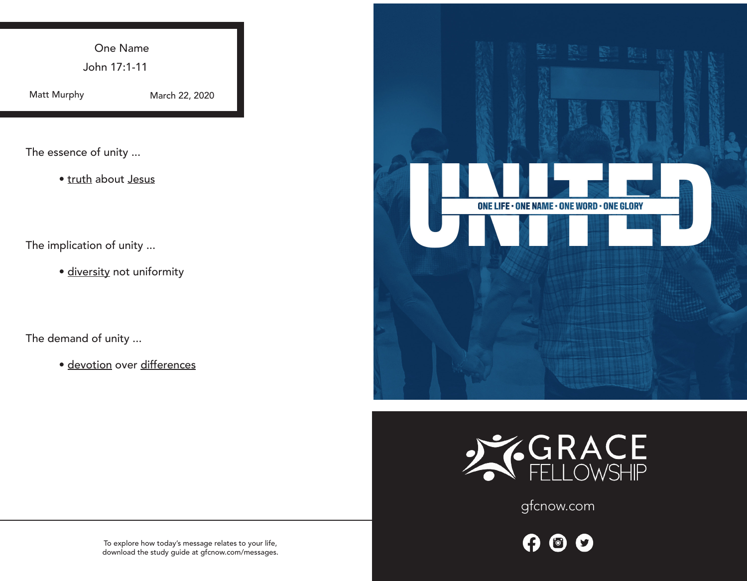One Name

John 17:1-11

Matt Murphy

March 22, 2020

The essence of unity ...

• truth about Jesus

The implication of unity ...

· diversity not uniformity

The demand of unity ...

• devotion over differences





gfcnow.com

0  $\bullet$  $\bullet$ 

To explore how today's message relates to your life, download the study guide at gfcnow.com/messages.